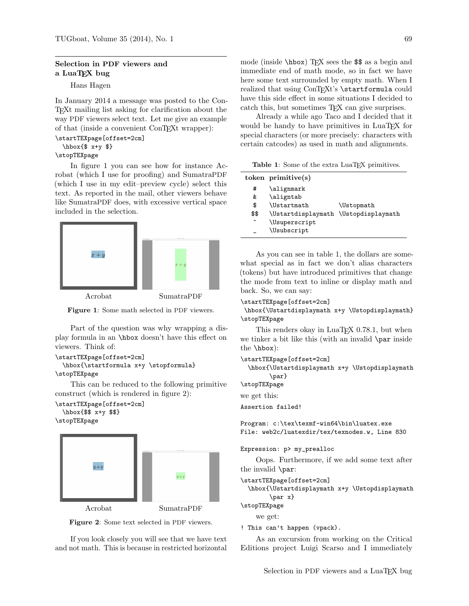## Selection in PDF viewers and a LuaTEX bug

Hans Hagen

In January 2014 a message was posted to the Con-TEXt mailing list asking for clarification about the way PDF viewers select text. Let me give an example of that (inside a convenient ConTEXt wrapper):

## \startTEXpage[offset=2cm] \hbox{\$ x+y \$}

## \stopTEXpage

In figure 1 you can see how for instance Acrobat (which I use for proofing) and SumatraPDF (which I use in my edit–preview cycle) select this text. As reported in the mail, other viewers behave like SumatraPDF does, with excessive vertical space included in the selection.



Acrobat SumatraPDF

Figure 1: Some math selected in PDF viewers.

Part of the question was why wrapping a display formula in an \hbox doesn't have this effect on viewers. Think of:

```
\startTEXpage[offset=2cm]
  \hbox{\startformula x+y \stopformula}
\stopTEXpage
```
This can be reduced to the following primitive construct (which is rendered in figure 2):

```
\startTEXpage[offset=2cm]
  \hbox{$$ x+y $$}
\stopTEXpage
```


Figure 2: Some text selected in PDF viewers.

If you look closely you will see that we have text and not math. This is because in restricted horizontal

mode (inside  $\hbar$ ox) TEX sees the \$\$ as a begin and immediate end of math mode, so in fact we have here some text surrounded by empty math. When I realized that using ConTFXt's \startformula could have this side effect in some situations I decided to catch this, but sometimes T<sub>F</sub>X can give surprises.

Already a while ago Taco and I decided that it would be handy to have primitives in LuaTEX for special characters (or more precisely: characters with certain catcodes) as used in math and alignments.

Table 1: Some of the extra LuaT<sub>EX</sub> primitives.

| \alignmark<br>#<br>\aligntab<br>&.<br><b>\Ustartmath</b><br>\$<br><b>\Ustopmath</b><br>\$\$<br>\Ustartdisplaymath \Ustopdisplaymath<br>∼<br>\Usuperscript<br>\Usubscript | token primitive(s) |  |
|--------------------------------------------------------------------------------------------------------------------------------------------------------------------------|--------------------|--|
|                                                                                                                                                                          |                    |  |
|                                                                                                                                                                          |                    |  |
|                                                                                                                                                                          |                    |  |
|                                                                                                                                                                          |                    |  |
|                                                                                                                                                                          |                    |  |
|                                                                                                                                                                          |                    |  |

As you can see in table 1, the dollars are somewhat special as in fact we don't alias characters (tokens) but have introduced primitives that change the mode from text to inline or display math and back. So, we can say:

```
\startTEXpage[offset=2cm]
```
\hbox{\Ustartdisplaymath x+y \Ustopdisplaymath} \stopTEXpage

This renders okay in LuaTEX 0.78.1, but when we tinker a bit like this (with an invalid \par inside the \hbox):

\startTEXpage[offset=2cm]

\hbox{\Ustartdisplaymath x+y \Ustopdisplaymath \par}

\stopTEXpage

we get this:

Assertion failed!

```
Program: c:\tex\texmf-win64\bin\luatex.exe
File: web2c/luatexdir/tex/texnodes.w, Line 830
```

```
Expression: p> my_prealloc
```
Oops. Furthermore, if we add some text after the invalid \par:

```
\startTEXpage[offset=2cm]
  \hbox{\Ustartdisplaymath x+y \Ustopdisplaymath
        \par x}
```
\stopTEXpage

```
we get:
```
! This can't happen (vpack).

As an excursion from working on the Critical Editions project Luigi Scarso and I immediately